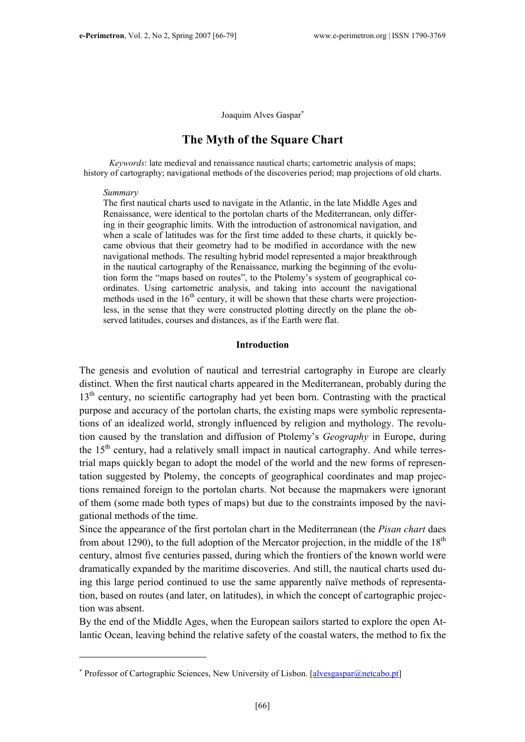Joaquim Alves Gaspar<sup>∗</sup>

## The Myth of the Square Chart

Keywords: late medieval and renaissance nautical charts; cartometric analysis of maps; history of cartography; navigational methods of the discoveries period; map projections of old charts.

#### Summary

 $\overline{a}$ 

The first nautical charts used to navigate in the Atlantic, in the late Middle Ages and Renaissance, were identical to the portolan charts of the Mediterranean, only differing in their geographic limits. With the introduction of astronomical navigation, and when a scale of latitudes was for the first time added to these charts, it quickly became obvious that their geometry had to be modified in accordance with the new navigational methods. The resulting hybrid model represented a major breakthrough in the nautical cartography of the Renaissance, marking the beginning of the evolution form the "maps based on routes", to the Ptolemy's system of geographical coordinates. Using cartometric analysis, and taking into account the navigational methods used in the  $16<sup>th</sup>$  century, it will be shown that these charts were projectionless, in the sense that they were constructed plotting directly on the plane the observed latitudes, courses and distances, as if the Earth were flat.

#### Introduction

The genesis and evolution of nautical and terrestrial cartography in Europe are clearly distinct. When the first nautical charts appeared in the Mediterranean, probably during the 13<sup>th</sup> century, no scientific cartography had yet been born. Contrasting with the practical purpose and accuracy of the portolan charts, the existing maps were symbolic representations of an idealized world, strongly influenced by religion and mythology. The revolution caused by the translation and diffusion of Ptolemy's Geography in Europe, during the 15<sup>th</sup> century, had a relatively small impact in nautical cartography. And while terrestrial maps quickly began to adopt the model of the world and the new forms of representation suggested by Ptolemy, the concepts of geographical coordinates and map projections remained foreign to the portolan charts. Not because the mapmakers were ignorant of them (some made both types of maps) but due to the constraints imposed by the navigational methods of the time.

Since the appearance of the first portolan chart in the Mediterranean (the Pisan chart daes from about 1290), to the full adoption of the Mercator projection, in the middle of the  $18<sup>th</sup>$ century, almost five centuries passed, during which the frontiers of the known world were dramatically expanded by the maritime discoveries. And still, the nautical charts used duing this large period continued to use the same apparently naïve methods of representation, based on routes (and later, on latitudes), in which the concept of cartographic projection was absent.

By the end of the Middle Ages, when the European sailors started to explore the open Atlantic Ocean, leaving behind the relative safety of the coastal waters, the method to fix the

<sup>\*</sup> Professor of Cartographic Sciences, New University of Lisbon. [alvesgaspar@netcabo.pt]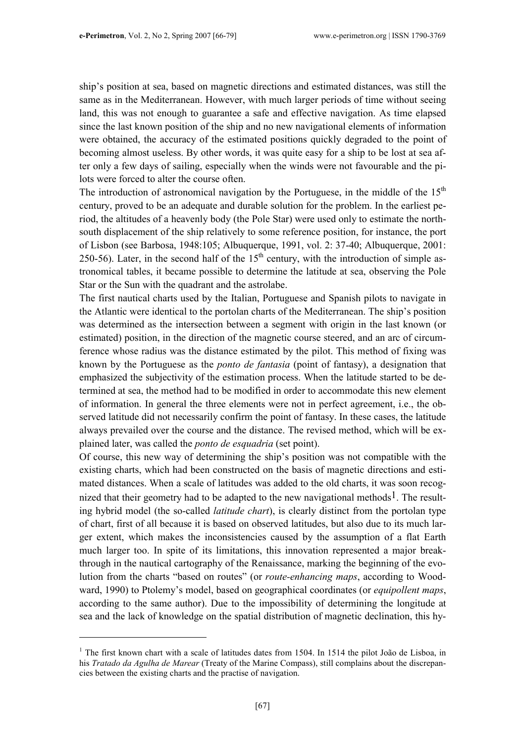ship's position at sea, based on magnetic directions and estimated distances, was still the same as in the Mediterranean. However, with much larger periods of time without seeing land, this was not enough to guarantee a safe and effective navigation. As time elapsed since the last known position of the ship and no new navigational elements of information were obtained, the accuracy of the estimated positions quickly degraded to the point of becoming almost useless. By other words, it was quite easy for a ship to be lost at sea after only a few days of sailing, especially when the winds were not favourable and the pilots were forced to alter the course often.

The introduction of astronomical navigation by the Portuguese, in the middle of the  $15<sup>th</sup>$ century, proved to be an adequate and durable solution for the problem. In the earliest period, the altitudes of a heavenly body (the Pole Star) were used only to estimate the northsouth displacement of the ship relatively to some reference position, for instance, the port of Lisbon (see Barbosa, 1948:105; Albuquerque, 1991, vol. 2: 37-40; Albuquerque, 2001: 250-56). Later, in the second half of the  $15<sup>th</sup>$  century, with the introduction of simple astronomical tables, it became possible to determine the latitude at sea, observing the Pole Star or the Sun with the quadrant and the astrolabe.

The first nautical charts used by the Italian, Portuguese and Spanish pilots to navigate in the Atlantic were identical to the portolan charts of the Mediterranean. The ship's position was determined as the intersection between a segment with origin in the last known (or estimated) position, in the direction of the magnetic course steered, and an arc of circumference whose radius was the distance estimated by the pilot. This method of fixing was known by the Portuguese as the ponto de fantasia (point of fantasy), a designation that emphasized the subjectivity of the estimation process. When the latitude started to be determined at sea, the method had to be modified in order to accommodate this new element of information. In general the three elements were not in perfect agreement, i.e., the observed latitude did not necessarily confirm the point of fantasy. In these cases, the latitude always prevailed over the course and the distance. The revised method, which will be explained later, was called the ponto de esquadria (set point).

Of course, this new way of determining the ship's position was not compatible with the existing charts, which had been constructed on the basis of magnetic directions and estimated distances. When a scale of latitudes was added to the old charts, it was soon recognized that their geometry had to be adapted to the new navigational methods<sup>1</sup>. The resulting hybrid model (the so-called latitude chart), is clearly distinct from the portolan type of chart, first of all because it is based on observed latitudes, but also due to its much larger extent, which makes the inconsistencies caused by the assumption of a flat Earth much larger too. In spite of its limitations, this innovation represented a major breakthrough in the nautical cartography of the Renaissance, marking the beginning of the evolution from the charts "based on routes" (or route-enhancing maps, according to Woodward, 1990) to Ptolemy's model, based on geographical coordinates (or *equipollent maps*, according to the same author). Due to the impossibility of determining the longitude at sea and the lack of knowledge on the spatial distribution of magnetic declination, this hy-

<sup>&</sup>lt;sup>1</sup> The first known chart with a scale of latitudes dates from 1504. In 1514 the pilot João de Lisboa, in his Tratado da Agulha de Marear (Treaty of the Marine Compass), still complains about the discrepancies between the existing charts and the practise of navigation.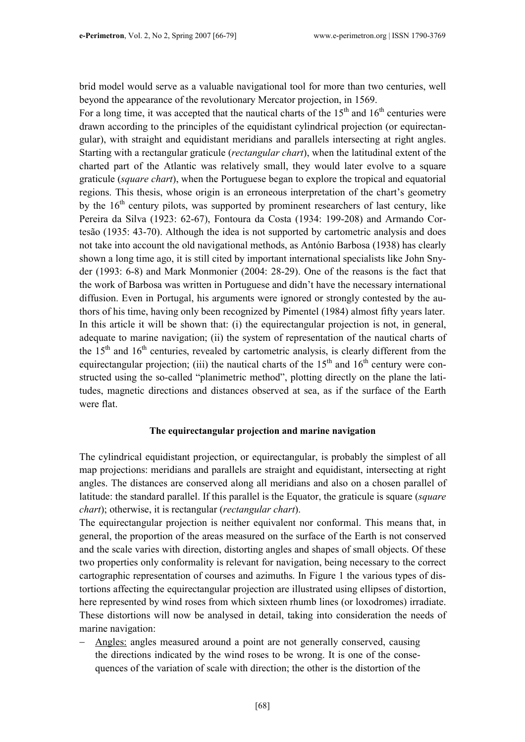brid model would serve as a valuable navigational tool for more than two centuries, well beyond the appearance of the revolutionary Mercator projection, in 1569.

For a long time, it was accepted that the nautical charts of the  $15<sup>th</sup>$  and  $16<sup>th</sup>$  centuries were drawn according to the principles of the equidistant cylindrical projection (or equirectangular), with straight and equidistant meridians and parallels intersecting at right angles. Starting with a rectangular graticule (rectangular chart), when the latitudinal extent of the charted part of the Atlantic was relatively small, they would later evolve to a square graticule (square chart), when the Portuguese began to explore the tropical and equatorial regions. This thesis, whose origin is an erroneous interpretation of the chart's geometry by the  $16<sup>th</sup>$  century pilots, was supported by prominent researchers of last century, like Pereira da Silva (1923: 62-67), Fontoura da Costa (1934: 199-208) and Armando Cortesão (1935: 43-70). Although the idea is not supported by cartometric analysis and does not take into account the old navigational methods, as António Barbosa (1938) has clearly shown a long time ago, it is still cited by important international specialists like John Snyder (1993: 6-8) and Mark Monmonier (2004: 28-29). One of the reasons is the fact that the work of Barbosa was written in Portuguese and didn't have the necessary international diffusion. Even in Portugal, his arguments were ignored or strongly contested by the authors of his time, having only been recognized by Pimentel (1984) almost fifty years later. In this article it will be shown that: (i) the equirectangular projection is not, in general, adequate to marine navigation; (ii) the system of representation of the nautical charts of the  $15<sup>th</sup>$  and  $16<sup>th</sup>$  centuries, revealed by cartometric analysis, is clearly different from the equirectangular projection; (iii) the nautical charts of the  $15<sup>th</sup>$  and  $16<sup>th</sup>$  century were constructed using the so-called "planimetric method", plotting directly on the plane the latitudes, magnetic directions and distances observed at sea, as if the surface of the Earth were flat.

## The equirectangular projection and marine navigation

The cylindrical equidistant projection, or equirectangular, is probably the simplest of all map projections: meridians and parallels are straight and equidistant, intersecting at right angles. The distances are conserved along all meridians and also on a chosen parallel of latitude: the standard parallel. If this parallel is the Equator, the graticule is square (square chart); otherwise, it is rectangular (rectangular chart).

The equirectangular projection is neither equivalent nor conformal. This means that, in general, the proportion of the areas measured on the surface of the Earth is not conserved and the scale varies with direction, distorting angles and shapes of small objects. Of these two properties only conformality is relevant for navigation, being necessary to the correct cartographic representation of courses and azimuths. In Figure 1 the various types of distortions affecting the equirectangular projection are illustrated using ellipses of distortion, here represented by wind roses from which sixteen rhumb lines (or loxodromes) irradiate. These distortions will now be analysed in detail, taking into consideration the needs of marine navigation:

Angles: angles measured around a point are not generally conserved, causing the directions indicated by the wind roses to be wrong. It is one of the consequences of the variation of scale with direction; the other is the distortion of the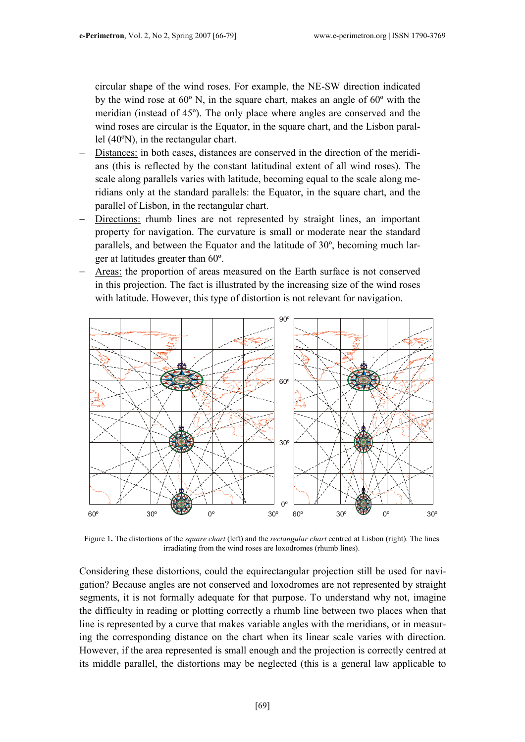circular shape of the wind roses. For example, the NE-SW direction indicated by the wind rose at 60º N, in the square chart, makes an angle of 60º with the meridian (instead of 45º). The only place where angles are conserved and the wind roses are circular is the Equator, in the square chart, and the Lisbon parallel (40ºN), in the rectangular chart.

- Distances: in both cases, distances are conserved in the direction of the meridians (this is reflected by the constant latitudinal extent of all wind roses). The scale along parallels varies with latitude, becoming equal to the scale along meridians only at the standard parallels: the Equator, in the square chart, and the parallel of Lisbon, in the rectangular chart.
- Directions: rhumb lines are not represented by straight lines, an important property for navigation. The curvature is small or moderate near the standard parallels, and between the Equator and the latitude of 30º, becoming much larger at latitudes greater than 60º.
- Areas: the proportion of areas measured on the Earth surface is not conserved in this projection. The fact is illustrated by the increasing size of the wind roses with latitude. However, this type of distortion is not relevant for navigation.



Figure 1. The distortions of the *square chart* (left) and the *rectangular chart* centred at Lisbon (right). The lines irradiating from the wind roses are loxodromes (rhumb lines).

Considering these distortions, could the equirectangular projection still be used for navigation? Because angles are not conserved and loxodromes are not represented by straight segments, it is not formally adequate for that purpose. To understand why not, imagine the difficulty in reading or plotting correctly a rhumb line between two places when that line is represented by a curve that makes variable angles with the meridians, or in measuring the corresponding distance on the chart when its linear scale varies with direction. However, if the area represented is small enough and the projection is correctly centred at its middle parallel, the distortions may be neglected (this is a general law applicable to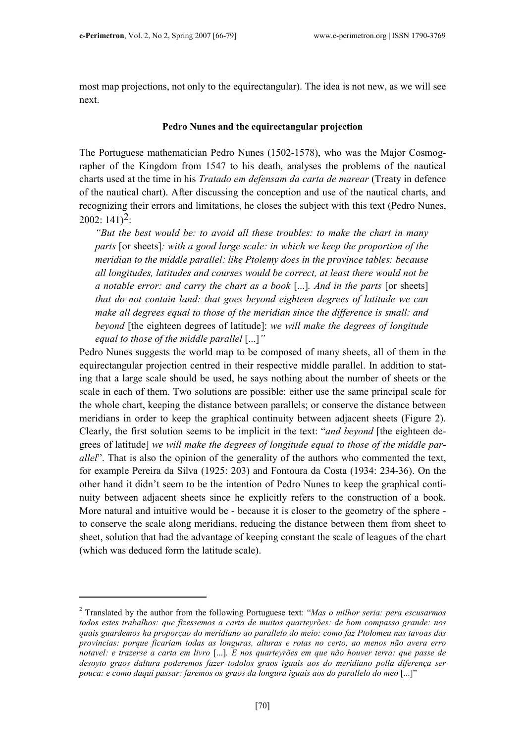$\overline{a}$ 

most map projections, not only to the equirectangular). The idea is not new, as we will see next.

#### Pedro Nunes and the equirectangular projection

The Portuguese mathematician Pedro Nunes (1502-1578), who was the Major Cosmographer of the Kingdom from 1547 to his death, analyses the problems of the nautical charts used at the time in his Tratado em defensam da carta de marear (Treaty in defence of the nautical chart). After discussing the conception and use of the nautical charts, and recognizing their errors and limitations, he closes the subject with this text (Pedro Nunes,  $2002: 141$ <sup>2</sup>:

"But the best would be: to avoid all these troubles: to make the chart in many parts [or sheets]: with a good large scale: in which we keep the proportion of the meridian to the middle parallel: like Ptolemy does in the province tables: because all longitudes, latitudes and courses would be correct, at least there would not be a notable error: and carry the chart as a book [...]. And in the parts [or sheets] that do not contain land: that goes beyond eighteen degrees of latitude we can make all degrees equal to those of the meridian since the difference is small: and beyond [the eighteen degrees of latitude]: we will make the degrees of longitude equal to those of the middle parallel [...]"

Pedro Nunes suggests the world map to be composed of many sheets, all of them in the equirectangular projection centred in their respective middle parallel. In addition to stating that a large scale should be used, he says nothing about the number of sheets or the scale in each of them. Two solutions are possible: either use the same principal scale for the whole chart, keeping the distance between parallels; or conserve the distance between meridians in order to keep the graphical continuity between adjacent sheets (Figure 2). Clearly, the first solution seems to be implicit in the text: "and beyond [the eighteen degrees of latitude] we will make the degrees of longitude equal to those of the middle parallel". That is also the opinion of the generality of the authors who commented the text, for example Pereira da Silva (1925: 203) and Fontoura da Costa (1934: 234-36). On the other hand it didn't seem to be the intention of Pedro Nunes to keep the graphical continuity between adjacent sheets since he explicitly refers to the construction of a book. More natural and intuitive would be - because it is closer to the geometry of the sphere to conserve the scale along meridians, reducing the distance between them from sheet to sheet, solution that had the advantage of keeping constant the scale of leagues of the chart (which was deduced form the latitude scale).

<sup>&</sup>lt;sup>2</sup> Translated by the author from the following Portuguese text: "Mas o milhor seria: pera escusarmos" todos estes trabalhos: que fizessemos a carta de muitos quarteyrões: de bom compasso grande: nos quais guardemos ha proporçao do meridiano ao parallelo do meio: como faz Ptolomeu nas tavoas das provincias: porque ficariam todas as longuras, alturas e rotas no certo, ao menos não avera erro notavel: e trazerse a carta em livro [...]. E nos quarteyrões em que não houver terra: que passe de desoyto graos daltura poderemos fazer todolos graos iguais aos do meridiano polla diferença ser pouca: e como daqui passar: faremos os graos da longura iguais aos do parallelo do meo [...]"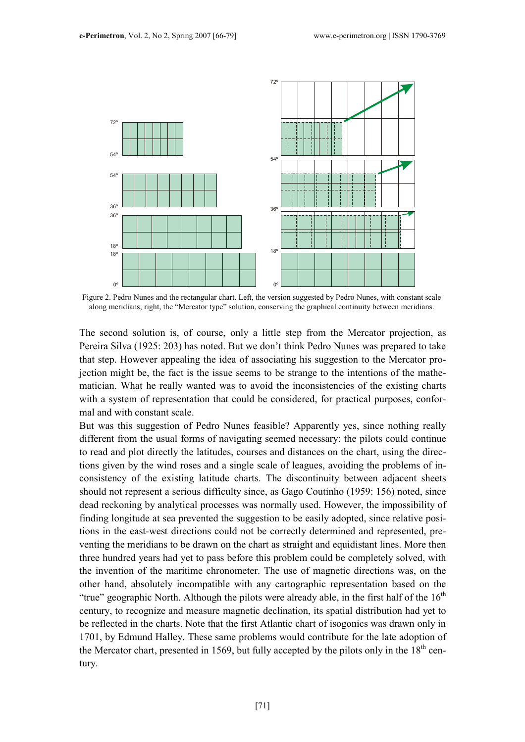

Figure 2. Pedro Nunes and the rectangular chart. Left, the version suggested by Pedro Nunes, with constant scale along meridians; right, the "Mercator type" solution, conserving the graphical continuity between meridians.

The second solution is, of course, only a little step from the Mercator projection, as Pereira Silva (1925: 203) has noted. But we don't think Pedro Nunes was prepared to take that step. However appealing the idea of associating his suggestion to the Mercator projection might be, the fact is the issue seems to be strange to the intentions of the mathematician. What he really wanted was to avoid the inconsistencies of the existing charts with a system of representation that could be considered, for practical purposes, conformal and with constant scale.

But was this suggestion of Pedro Nunes feasible? Apparently yes, since nothing really different from the usual forms of navigating seemed necessary: the pilots could continue to read and plot directly the latitudes, courses and distances on the chart, using the directions given by the wind roses and a single scale of leagues, avoiding the problems of inconsistency of the existing latitude charts. The discontinuity between adjacent sheets should not represent a serious difficulty since, as Gago Coutinho (1959: 156) noted, since dead reckoning by analytical processes was normally used. However, the impossibility of finding longitude at sea prevented the suggestion to be easily adopted, since relative positions in the east-west directions could not be correctly determined and represented, preventing the meridians to be drawn on the chart as straight and equidistant lines. More then three hundred years had yet to pass before this problem could be completely solved, with the invention of the maritime chronometer. The use of magnetic directions was, on the other hand, absolutely incompatible with any cartographic representation based on the "true" geographic North. Although the pilots were already able, in the first half of the  $16<sup>th</sup>$ century, to recognize and measure magnetic declination, its spatial distribution had yet to be reflected in the charts. Note that the first Atlantic chart of isogonics was drawn only in 1701, by Edmund Halley. These same problems would contribute for the late adoption of the Mercator chart, presented in 1569, but fully accepted by the pilots only in the  $18<sup>th</sup>$  century.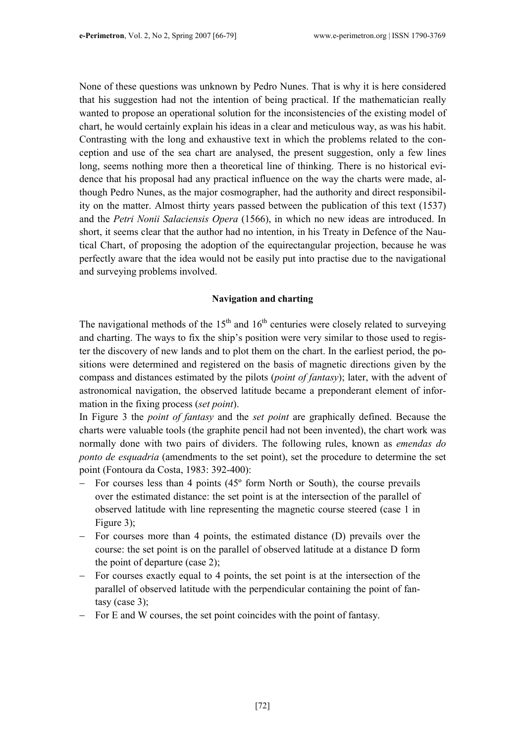None of these questions was unknown by Pedro Nunes. That is why it is here considered that his suggestion had not the intention of being practical. If the mathematician really wanted to propose an operational solution for the inconsistencies of the existing model of chart, he would certainly explain his ideas in a clear and meticulous way, as was his habit. Contrasting with the long and exhaustive text in which the problems related to the conception and use of the sea chart are analysed, the present suggestion, only a few lines long, seems nothing more then a theoretical line of thinking. There is no historical evidence that his proposal had any practical influence on the way the charts were made, although Pedro Nunes, as the major cosmographer, had the authority and direct responsibility on the matter. Almost thirty years passed between the publication of this text (1537) and the Petri Nonii Salaciensis Opera (1566), in which no new ideas are introduced. In short, it seems clear that the author had no intention, in his Treaty in Defence of the Nautical Chart, of proposing the adoption of the equirectangular projection, because he was perfectly aware that the idea would not be easily put into practise due to the navigational and surveying problems involved.

## Navigation and charting

The navigational methods of the  $15<sup>th</sup>$  and  $16<sup>th</sup>$  centuries were closely related to surveying and charting. The ways to fix the ship's position were very similar to those used to register the discovery of new lands and to plot them on the chart. In the earliest period, the positions were determined and registered on the basis of magnetic directions given by the compass and distances estimated by the pilots (point of fantasy); later, with the advent of astronomical navigation, the observed latitude became a preponderant element of information in the fixing process (set point).

In Figure 3 the *point of fantasy* and the *set point* are graphically defined. Because the charts were valuable tools (the graphite pencil had not been invented), the chart work was normally done with two pairs of dividers. The following rules, known as *emendas do* ponto de esquadria (amendments to the set point), set the procedure to determine the set point (Fontoura da Costa, 1983: 392-400):

- For courses less than 4 points (45<sup>o</sup> form North or South), the course prevails over the estimated distance: the set point is at the intersection of the parallel of observed latitude with line representing the magnetic course steered (case 1 in Figure 3);
- − For courses more than 4 points, the estimated distance (D) prevails over the course: the set point is on the parallel of observed latitude at a distance D form the point of departure (case 2);
- − For courses exactly equal to 4 points, the set point is at the intersection of the parallel of observed latitude with the perpendicular containing the point of fantasy (case 3);
- − For E and W courses, the set point coincides with the point of fantasy.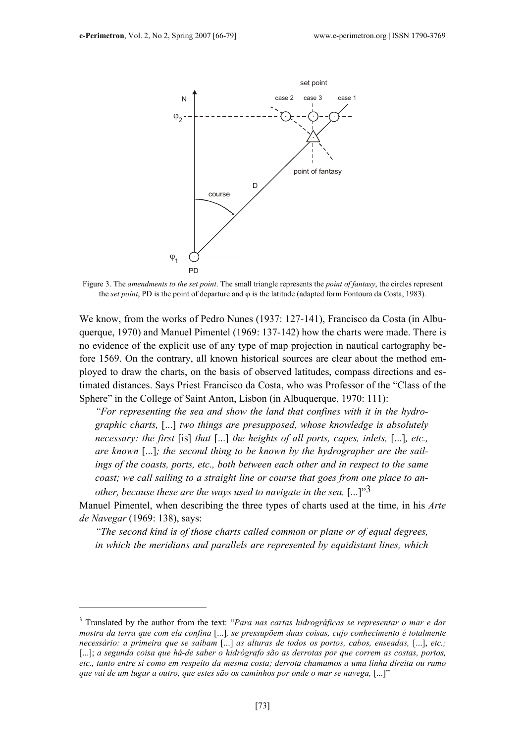

Figure 3. The amendments to the set point. The small triangle represents the point of fantasy, the circles represent the set point, PD is the point of departure and  $\varphi$  is the latitude (adapted form Fontoura da Costa, 1983).

We know, from the works of Pedro Nunes (1937: 127-141), Francisco da Costa (in Albuquerque, 1970) and Manuel Pimentel (1969: 137-142) how the charts were made. There is no evidence of the explicit use of any type of map projection in nautical cartography before 1569. On the contrary, all known historical sources are clear about the method employed to draw the charts, on the basis of observed latitudes, compass directions and estimated distances. Says Priest Francisco da Costa, who was Professor of the "Class of the Sphere" in the College of Saint Anton, Lisbon (in Albuquerque, 1970: 111):

"For representing the sea and show the land that confines with it in the hydrographic charts, [...] two things are presupposed, whose knowledge is absolutely necessary: the first [is] that [...] the heights of all ports, capes, inlets, [...], etc., are known [...]; the second thing to be known by the hydrographer are the sailings of the coasts, ports, etc., both between each other and in respect to the same coast; we call sailing to a straight line or course that goes from one place to another, because these are the ways used to navigate in the sea,  $[...]^{3}$ 

Manuel Pimentel, when describing the three types of charts used at the time, in his Arte de Navegar (1969: 138), says:

"The second kind is of those charts called common or plane or of equal degrees, in which the meridians and parallels are represented by equidistant lines, which

 $3$  Translated by the author from the text: "Para nas cartas hidrográficas se representar o mar e dar mostra da terra que com ela confina [...], se pressupõem duas coisas, cujo conhecimento é totalmente necessário: a primeira que se saibam [...] as alturas de todos os portos, cabos, enseadas, [...], etc.; [...]; a segunda coisa que há-de saber o hidrógrafo são as derrotas por que correm as costas, portos, etc., tanto entre si como em respeito da mesma costa; derrota chamamos a uma linha direita ou rumo que vai de um lugar a outro, que estes são os caminhos por onde o mar se navega, [...]"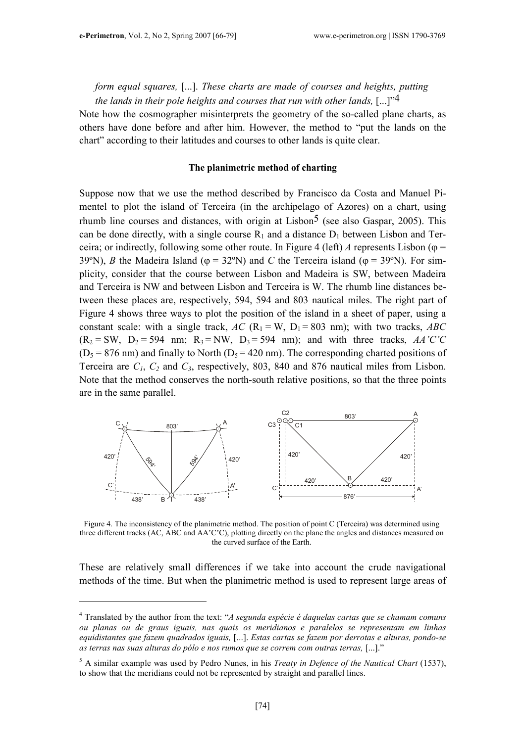# form equal squares, [...]. These charts are made of courses and heights, putting the lands in their pole heights and courses that run with other lands,  $[...]^{34}$

Note how the cosmographer misinterprets the geometry of the so-called plane charts, as others have done before and after him. However, the method to "put the lands on the chart" according to their latitudes and courses to other lands is quite clear.

### The planimetric method of charting

Suppose now that we use the method described by Francisco da Costa and Manuel Pimentel to plot the island of Terceira (in the archipelago of Azores) on a chart, using rhumb line courses and distances, with origin at Lisbon<sup>5</sup> (see also Gaspar, 2005). This can be done directly, with a single course  $R_1$  and a distance  $D_1$  between Lisbon and Terceira; or indirectly, following some other route. In Figure 4 (left) A represents Lisbon ( $\varphi$  = 39°N), B the Madeira Island ( $\varphi = 32$ °N) and C the Terceira island ( $\varphi = 39$ °N). For simplicity, consider that the course between Lisbon and Madeira is SW, between Madeira and Terceira is NW and between Lisbon and Terceira is W. The rhumb line distances between these places are, respectively, 594, 594 and 803 nautical miles. The right part of Figure 4 shows three ways to plot the position of the island in a sheet of paper, using a constant scale: with a single track,  $AC$  (R<sub>1</sub> = W, D<sub>1</sub> = 803 nm); with two tracks, ABC  $(R_2 = SW, D_2 = 594 \text{ nm}; R_3 = NW, D_3 = 594 \text{ nm}; \text{ and with three tracks, } AA'C'C$  $(D_5 = 876 \text{ nm})$  and finally to North  $(D_5 = 420 \text{ nm})$ . The corresponding charted positions of Terceira are  $C_1$ ,  $C_2$  and  $C_3$ , respectively, 803, 840 and 876 nautical miles from Lisbon. Note that the method conserves the north-south relative positions, so that the three points are in the same parallel.



Figure 4. The inconsistency of the planimetric method. The position of point C (Terceira) was determined using three different tracks (AC, ABC and AA'C'C), plotting directly on the plane the angles and distances measured on the curved surface of the Earth.

These are relatively small differences if we take into account the crude navigational methods of the time. But when the planimetric method is used to represent large areas of

<sup>&</sup>lt;sup>4</sup> Translated by the author from the text: "A segunda espécie é daquelas cartas que se chamam comuns ou planas ou de graus iguais, nas quais os meridianos e paralelos se representam em linhas equidistantes que fazem quadrados iguais, [...]. Estas cartas se fazem por derrotas e alturas, pondo-se as terras nas suas alturas do pólo e nos rumos que se correm com outras terras, [...]."

 $<sup>5</sup>$  A similar example was used by Pedro Nunes, in his *Treaty in Defence of the Nautical Chart* (1537),</sup> to show that the meridians could not be represented by straight and parallel lines.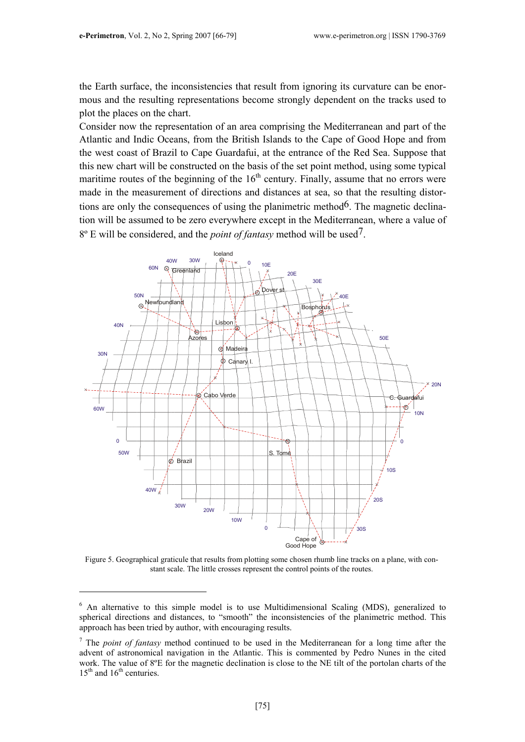the Earth surface, the inconsistencies that result from ignoring its curvature can be enormous and the resulting representations become strongly dependent on the tracks used to plot the places on the chart.

Consider now the representation of an area comprising the Mediterranean and part of the Atlantic and Indic Oceans, from the British Islands to the Cape of Good Hope and from the west coast of Brazil to Cape Guardafui, at the entrance of the Red Sea. Suppose that this new chart will be constructed on the basis of the set point method, using some typical maritime routes of the beginning of the  $16<sup>th</sup>$  century. Finally, assume that no errors were made in the measurement of directions and distances at sea, so that the resulting distortions are only the consequences of using the planimetric method<sup>6</sup>. The magnetic declination will be assumed to be zero everywhere except in the Mediterranean, where a value of  $8^{\circ}$  E will be considered, and the *point of fantasy* method will be used<sup>7</sup>.



Figure 5. Geographical graticule that results from plotting some chosen rhumb line tracks on a plane, with constant scale. The little crosses represent the control points of the routes.

<sup>&</sup>lt;sup>6</sup> An alternative to this simple model is to use Multidimensional Scaling (MDS), generalized to spherical directions and distances, to "smooth" the inconsistencies of the planimetric method. This approach has been tried by author, with encouraging results.

<sup>&</sup>lt;sup>7</sup> The *point of fantasy* method continued to be used in the Mediterranean for a long time after the advent of astronomical navigation in the Atlantic. This is commented by Pedro Nunes in the cited work. The value of 8<sup>o</sup>E for the magnetic declination is close to the NE tilt of the portolan charts of the  $15<sup>th</sup>$  and  $16<sup>th</sup>$  centuries.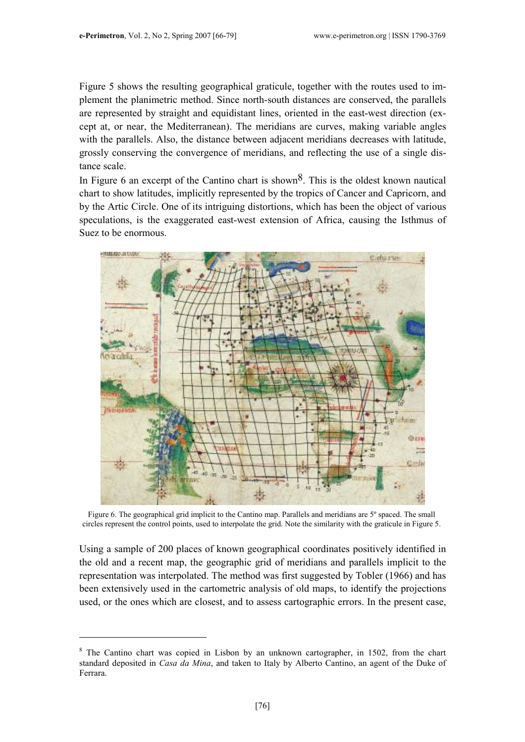Figure 5 shows the resulting geographical graticule, together with the routes used to implement the planimetric method. Since north-south distances are conserved, the parallels are represented by straight and equidistant lines, oriented in the east-west direction (except at, or near, the Mediterranean). The meridians are curves, making variable angles with the parallels. Also, the distance between adjacent meridians decreases with latitude, grossly conserving the convergence of meridians, and reflecting the use of a single distance scale.

In Figure 6 an excerpt of the Cantino chart is shown<sup>8</sup>. This is the oldest known nautical chart to show latitudes, implicitly represented by the tropics of Cancer and Capricorn, and by the Artic Circle. One of its intriguing distortions, which has been the object of various speculations, is the exaggerated east-west extension of Africa, causing the Isthmus of Suez to be enormous.



Figure 6. The geographical grid implicit to the Cantino map. Parallels and meridians are 5º spaced. The small circles represent the control points, used to interpolate the grid. Note the similarity with the graticule in Figure 5.

Using a sample of 200 places of known geographical coordinates positively identified in the old and a recent map, the geographic grid of meridians and parallels implicit to the representation was interpolated. The method was first suggested by Tobler (1966) and has been extensively used in the cartometric analysis of old maps, to identify the projections used, or the ones which are closest, and to assess cartographic errors. In the present case,

<sup>&</sup>lt;sup>8</sup> The Cantino chart was copied in Lisbon by an unknown cartographer, in 1502, from the chart standard deposited in Casa da Mina, and taken to Italy by Alberto Cantino, an agent of the Duke of Ferrara.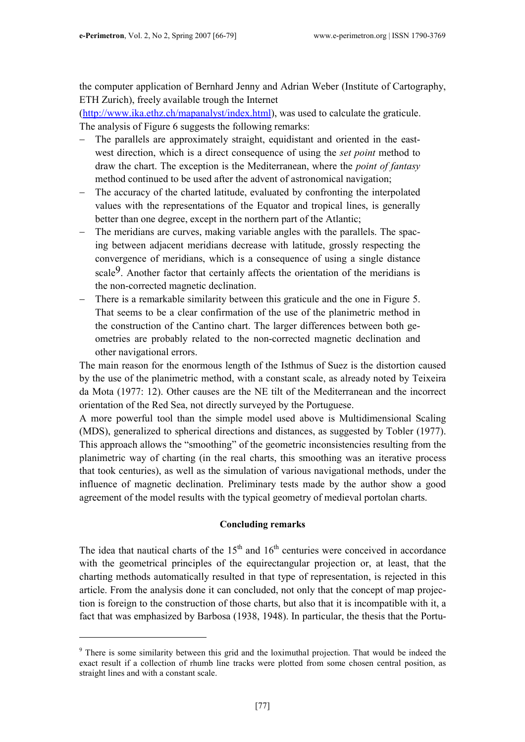the computer application of Bernhard Jenny and Adrian Weber (Institute of Cartography, ETH Zurich), freely available trough the Internet

(http://www.ika.ethz.ch/mapanalyst/index.html), was used to calculate the graticule. The analysis of Figure 6 suggests the following remarks:

- The parallels are approximately straight, equidistant and oriented in the eastwest direction, which is a direct consequence of using the *set point* method to draw the chart. The exception is the Mediterranean, where the point of fantasy method continued to be used after the advent of astronomical navigation;
- − The accuracy of the charted latitude, evaluated by confronting the interpolated values with the representations of the Equator and tropical lines, is generally better than one degree, except in the northern part of the Atlantic;
- − The meridians are curves, making variable angles with the parallels. The spacing between adjacent meridians decrease with latitude, grossly respecting the convergence of meridians, which is a consequence of using a single distance scale<sup>9</sup>. Another factor that certainly affects the orientation of the meridians is the non-corrected magnetic declination.
- − There is a remarkable similarity between this graticule and the one in Figure 5. That seems to be a clear confirmation of the use of the planimetric method in the construction of the Cantino chart. The larger differences between both geometries are probably related to the non-corrected magnetic declination and other navigational errors.

The main reason for the enormous length of the Isthmus of Suez is the distortion caused by the use of the planimetric method, with a constant scale, as already noted by Teixeira da Mota (1977: 12). Other causes are the NE tilt of the Mediterranean and the incorrect orientation of the Red Sea, not directly surveyed by the Portuguese.

A more powerful tool than the simple model used above is Multidimensional Scaling (MDS), generalized to spherical directions and distances, as suggested by Tobler (1977). This approach allows the "smoothing" of the geometric inconsistencies resulting from the planimetric way of charting (in the real charts, this smoothing was an iterative process that took centuries), as well as the simulation of various navigational methods, under the influence of magnetic declination. Preliminary tests made by the author show a good agreement of the model results with the typical geometry of medieval portolan charts.

### Concluding remarks

The idea that nautical charts of the  $15<sup>th</sup>$  and  $16<sup>th</sup>$  centuries were conceived in accordance with the geometrical principles of the equirectangular projection or, at least, that the charting methods automatically resulted in that type of representation, is rejected in this article. From the analysis done it can concluded, not only that the concept of map projection is foreign to the construction of those charts, but also that it is incompatible with it, a fact that was emphasized by Barbosa (1938, 1948). In particular, the thesis that the Portu-

<sup>&</sup>lt;sup>9</sup> There is some similarity between this grid and the loximuthal projection. That would be indeed the exact result if a collection of rhumb line tracks were plotted from some chosen central position, as straight lines and with a constant scale.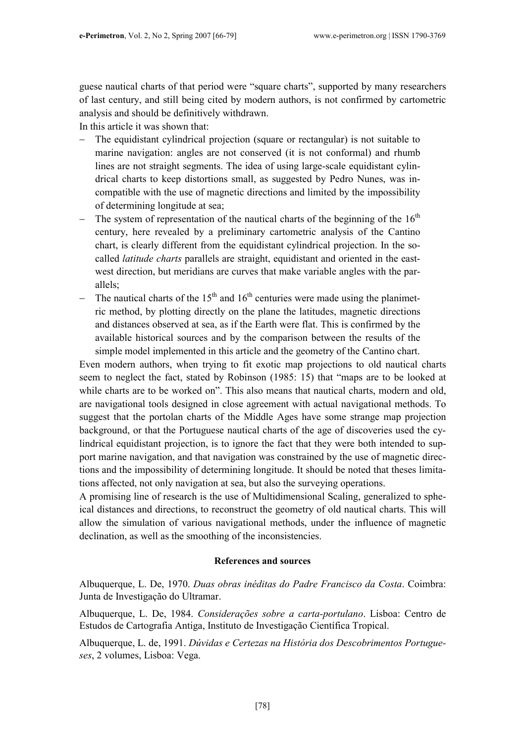guese nautical charts of that period were "square charts", supported by many researchers of last century, and still being cited by modern authors, is not confirmed by cartometric analysis and should be definitively withdrawn.

In this article it was shown that:

- The equidistant cylindrical projection (square or rectangular) is not suitable to marine navigation: angles are not conserved (it is not conformal) and rhumb lines are not straight segments. The idea of using large-scale equidistant cylindrical charts to keep distortions small, as suggested by Pedro Nunes, was incompatible with the use of magnetic directions and limited by the impossibility of determining longitude at sea;
- $-$  The system of representation of the nautical charts of the beginning of the 16<sup>th</sup> century, here revealed by a preliminary cartometric analysis of the Cantino chart, is clearly different from the equidistant cylindrical projection. In the socalled latitude charts parallels are straight, equidistant and oriented in the eastwest direction, but meridians are curves that make variable angles with the parallels;
- $-$  The nautical charts of the 15<sup>th</sup> and 16<sup>th</sup> centuries were made using the planimetric method, by plotting directly on the plane the latitudes, magnetic directions and distances observed at sea, as if the Earth were flat. This is confirmed by the available historical sources and by the comparison between the results of the simple model implemented in this article and the geometry of the Cantino chart.

Even modern authors, when trying to fit exotic map projections to old nautical charts seem to neglect the fact, stated by Robinson (1985: 15) that "maps are to be looked at while charts are to be worked on". This also means that nautical charts, modern and old, are navigational tools designed in close agreement with actual navigational methods. To suggest that the portolan charts of the Middle Ages have some strange map projection background, or that the Portuguese nautical charts of the age of discoveries used the cylindrical equidistant projection, is to ignore the fact that they were both intended to support marine navigation, and that navigation was constrained by the use of magnetic directions and the impossibility of determining longitude. It should be noted that theses limitations affected, not only navigation at sea, but also the surveying operations.

A promising line of research is the use of Multidimensional Scaling, generalized to spheical distances and directions, to reconstruct the geometry of old nautical charts. This will allow the simulation of various navigational methods, under the influence of magnetic declination, as well as the smoothing of the inconsistencies.

## References and sources

Albuquerque, L. De, 1970. Duas obras inéditas do Padre Francisco da Costa. Coimbra: Junta de Investigação do Ultramar.

Albuquerque, L. De, 1984. Considerações sobre a carta-portulano. Lisboa: Centro de Estudos de Cartografia Antiga, Instituto de Investigação Científica Tropical.

Albuquerque, L. de, 1991. Dúvidas e Certezas na História dos Descobrimentos Portugueses, 2 volumes, Lisboa: Vega.